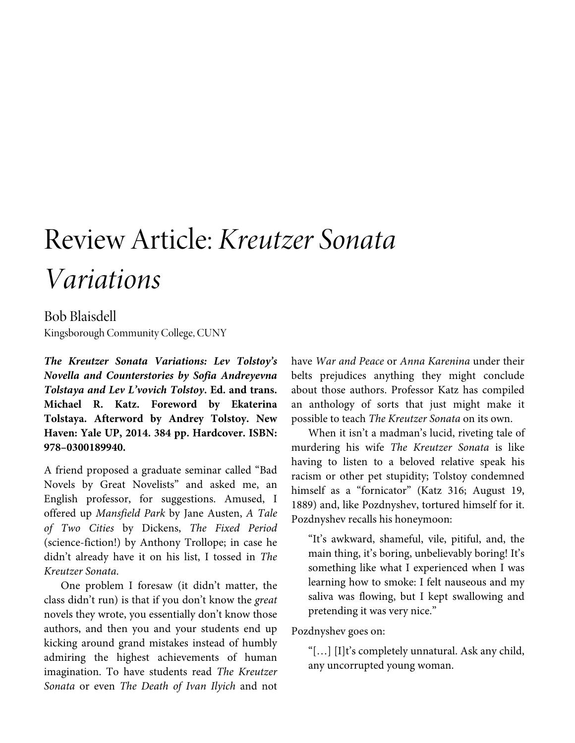## Review Article: *Kreutzer Sonata Variations*

## Bob Blaisdell Kingsborough Community College, CUNY

*The Kreutzer Sonata Variations: Lev Tolstoy's Novella and Counterstories by Sofia Andreyevna Tolstaya and Lev L'vovich Tolstoy***. Ed. and trans. Michael R. Katz. Foreword by Ekaterina Tolstaya. Afterword by Andrey Tolstoy. New Haven: Yale UP, 2014. 384 pp. Hardcover. ISBN: 978–0300189940.** 

A friend proposed a graduate seminar called "Bad Novels by Great Novelists" and asked me, an English professor, for suggestions. Amused, I offered up *Mansfield Park* by Jane Austen, *A Tale of Two Cities* by Dickens, *The Fixed Period* (science-fiction!) by Anthony Trollope; in case he didn't already have it on his list, I tossed in *The Kreutzer Sonata*.

One problem I foresaw (it didn't matter, the class didn't run) is that if you don't know the *great* novels they wrote, you essentially don't know those authors, and then you and your students end up kicking around grand mistakes instead of humbly admiring the highest achievements of human imagination. To have students read *The Kreutzer Sonata* or even *The Death of Ivan Ilyich* and not have *War and Peace* or *Anna Karenina* under their belts prejudices anything they might conclude about those authors. Professor Katz has compiled an anthology of sorts that just might make it possible to teach *The Kreutzer Sonata* on its own.

When it isn't a madman's lucid, riveting tale of murdering his wife *The Kreutzer Sonata* is like having to listen to a beloved relative speak his racism or other pet stupidity; Tolstoy condemned himself as a "fornicator" (Katz 316; August 19, 1889) and, like Pozdnyshev, tortured himself for it. Pozdnyshev recalls his honeymoon:

"It's awkward, shameful, vile, pitiful, and, the main thing, it's boring, unbelievably boring! It's something like what I experienced when I was learning how to smoke: I felt nauseous and my saliva was flowing, but I kept swallowing and pretending it was very nice."

Pozdnyshev goes on:

"[…] [I]t's completely unnatural. Ask any child, any uncorrupted young woman.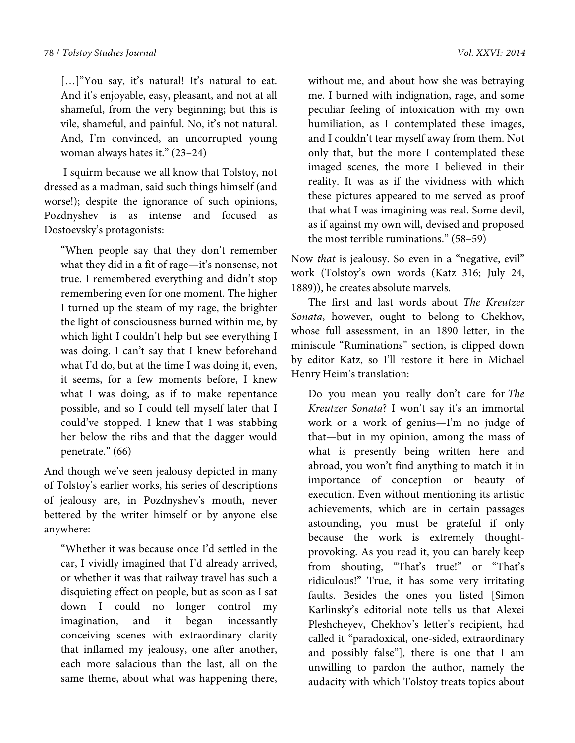[...]"You say, it's natural! It's natural to eat. And it's enjoyable, easy, pleasant, and not at all shameful, from the very beginning; but this is vile, shameful, and painful. No, it's not natural. And, I'm convinced, an uncorrupted young woman always hates it." (23–24)

 I squirm because we all know that Tolstoy, not dressed as a madman, said such things himself (and worse!); despite the ignorance of such opinions, Pozdnyshev is as intense and focused as Dostoevsky's protagonists:

"When people say that they don't remember what they did in a fit of rage—it's nonsense, not true. I remembered everything and didn't stop remembering even for one moment. The higher I turned up the steam of my rage, the brighter the light of consciousness burned within me, by which light I couldn't help but see everything I was doing. I can't say that I knew beforehand what I'd do, but at the time I was doing it, even, it seems, for a few moments before, I knew what I was doing, as if to make repentance possible, and so I could tell myself later that I could've stopped. I knew that I was stabbing her below the ribs and that the dagger would penetrate." (66)

And though we've seen jealousy depicted in many of Tolstoy's earlier works, his series of descriptions of jealousy are, in Pozdnyshev's mouth, never bettered by the writer himself or by anyone else anywhere:

"Whether it was because once I'd settled in the car, I vividly imagined that I'd already arrived, or whether it was that railway travel has such a disquieting effect on people, but as soon as I sat down I could no longer control my imagination, and it began incessantly conceiving scenes with extraordinary clarity that inflamed my jealousy, one after another, each more salacious than the last, all on the same theme, about what was happening there,

without me, and about how she was betraying me. I burned with indignation, rage, and some peculiar feeling of intoxication with my own humiliation, as I contemplated these images, and I couldn't tear myself away from them. Not only that, but the more I contemplated these imaged scenes, the more I believed in their reality. It was as if the vividness with which these pictures appeared to me served as proof that what I was imagining was real. Some devil, as if against my own will, devised and proposed the most terrible ruminations." (58–59)

Now *that* is jealousy. So even in a "negative, evil" work (Tolstoy's own words (Katz 316; July 24, 1889)), he creates absolute marvels.

The first and last words about *The Kreutzer Sonata*, however, ought to belong to Chekhov, whose full assessment, in an 1890 letter, in the miniscule "Ruminations" section, is clipped down by editor Katz, so I'll restore it here in Michael Henry Heim's translation:

Do you mean you really don't care for *The Kreutzer Sonata*? I won't say it's an immortal work or a work of genius—I'm no judge of that—but in my opinion, among the mass of what is presently being written here and abroad, you won't find anything to match it in importance of conception or beauty of execution. Even without mentioning its artistic achievements, which are in certain passages astounding, you must be grateful if only because the work is extremely thoughtprovoking. As you read it, you can barely keep from shouting, "That's true!" or "That's ridiculous!" True, it has some very irritating faults. Besides the ones you listed [Simon Karlinsky's editorial note tells us that Alexei Pleshcheyev, Chekhov's letter's recipient, had called it "paradoxical, one-sided, extraordinary and possibly false"], there is one that I am unwilling to pardon the author, namely the audacity with which Tolstoy treats topics about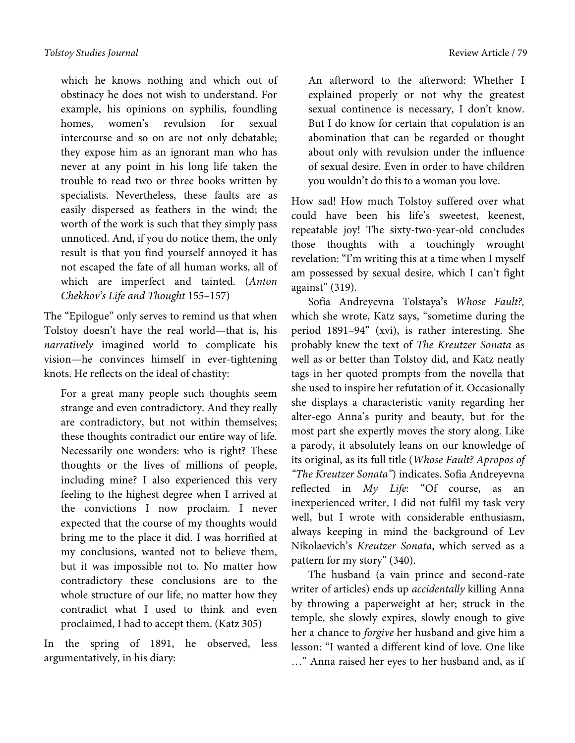which he knows nothing and which out of obstinacy he does not wish to understand. For example, his opinions on syphilis, foundling homes, women's revulsion for sexual intercourse and so on are not only debatable; they expose him as an ignorant man who has never at any point in his long life taken the trouble to read two or three books written by specialists. Nevertheless, these faults are as easily dispersed as feathers in the wind; the worth of the work is such that they simply pass unnoticed. And, if you do notice them, the only result is that you find yourself annoyed it has not escaped the fate of all human works, all of which are imperfect and tainted. (*Anton Chekhov's Life and Thought* 155–157)

The "Epilogue" only serves to remind us that when Tolstoy doesn't have the real world—that is, his *narratively* imagined world to complicate his vision—he convinces himself in ever-tightening knots. He reflects on the ideal of chastity:

For a great many people such thoughts seem strange and even contradictory. And they really are contradictory, but not within themselves; these thoughts contradict our entire way of life. Necessarily one wonders: who is right? These thoughts or the lives of millions of people, including mine? I also experienced this very feeling to the highest degree when I arrived at the convictions I now proclaim. I never expected that the course of my thoughts would bring me to the place it did. I was horrified at my conclusions, wanted not to believe them, but it was impossible not to. No matter how contradictory these conclusions are to the whole structure of our life, no matter how they contradict what I used to think and even proclaimed, I had to accept them. (Katz 305)

In the spring of 1891, he observed, less argumentatively, in his diary:

An afterword to the afterword: Whether I explained properly or not why the greatest sexual continence is necessary, I don't know. But I do know for certain that copulation is an abomination that can be regarded or thought about only with revulsion under the influence of sexual desire. Even in order to have children you wouldn't do this to a woman you love.

How sad! How much Tolstoy suffered over what could have been his life's sweetest, keenest, repeatable joy! The sixty-two-year-old concludes those thoughts with a touchingly wrought revelation: "I'm writing this at a time when I myself am possessed by sexual desire, which I can't fight against" (319).

Sofia Andreyevna Tolstaya's *Whose Fault?,* which she wrote, Katz says, "sometime during the period 1891–94" (xvi), is rather interesting. She probably knew the text of *The Kreutzer Sonata* as well as or better than Tolstoy did, and Katz neatly tags in her quoted prompts from the novella that she used to inspire her refutation of it. Occasionally she displays a characteristic vanity regarding her alter-ego Anna's purity and beauty, but for the most part she expertly moves the story along. Like a parody, it absolutely leans on our knowledge of its original, as its full title (*Whose Fault? Apropos of "The Kreutzer Sonata"*) indicates. Sofia Andreyevna reflected in *My Life*: "Of course, as an inexperienced writer, I did not fulfil my task very well, but I wrote with considerable enthusiasm, always keeping in mind the background of Lev Nikolaevich's *Kreutzer Sonata*, which served as a pattern for my story" (340).

The husband (a vain prince and second-rate writer of articles) ends up *accidentally* killing Anna by throwing a paperweight at her; struck in the temple, she slowly expires, slowly enough to give her a chance to *forgive* her husband and give him a lesson: "I wanted a different kind of love. One like …" Anna raised her eyes to her husband and, as if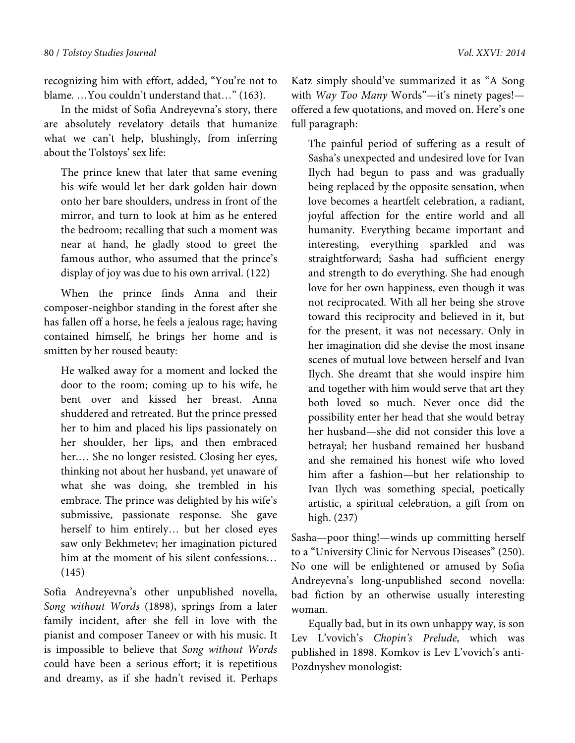recognizing him with effort, added, "You're not to blame. …You couldn't understand that…" (163).

In the midst of Sofia Andreyevna's story, there are absolutely revelatory details that humanize what we can't help, blushingly, from inferring about the Tolstoys' sex life:

The prince knew that later that same evening his wife would let her dark golden hair down onto her bare shoulders, undress in front of the mirror, and turn to look at him as he entered the bedroom; recalling that such a moment was near at hand, he gladly stood to greet the famous author, who assumed that the prince's display of joy was due to his own arrival. (122)

When the prince finds Anna and their composer-neighbor standing in the forest after she has fallen off a horse, he feels a jealous rage; having contained himself, he brings her home and is smitten by her roused beauty:

He walked away for a moment and locked the door to the room; coming up to his wife, he bent over and kissed her breast. Anna shuddered and retreated. But the prince pressed her to him and placed his lips passionately on her shoulder, her lips, and then embraced her.… She no longer resisted. Closing her eyes, thinking not about her husband, yet unaware of what she was doing, she trembled in his embrace. The prince was delighted by his wife's submissive, passionate response. She gave herself to him entirely… but her closed eyes saw only Bekhmetev; her imagination pictured him at the moment of his silent confessions… (145)

Sofia Andreyevna's other unpublished novella, *Song without Words* (1898), springs from a later family incident, after she fell in love with the pianist and composer Taneev or with his music. It is impossible to believe that *Song without Words* could have been a serious effort; it is repetitious and dreamy, as if she hadn't revised it. Perhaps Katz simply should've summarized it as "A Song with *Way Too Many* Words"—it's ninety pages! offered a few quotations, and moved on. Here's one full paragraph:

The painful period of suffering as a result of Sasha's unexpected and undesired love for Ivan Ilych had begun to pass and was gradually being replaced by the opposite sensation, when love becomes a heartfelt celebration, a radiant, joyful affection for the entire world and all humanity. Everything became important and interesting, everything sparkled and was straightforward; Sasha had sufficient energy and strength to do everything. She had enough love for her own happiness, even though it was not reciprocated. With all her being she strove toward this reciprocity and believed in it, but for the present, it was not necessary. Only in her imagination did she devise the most insane scenes of mutual love between herself and Ivan Ilych. She dreamt that she would inspire him and together with him would serve that art they both loved so much. Never once did the possibility enter her head that she would betray her husband—she did not consider this love a betrayal; her husband remained her husband and she remained his honest wife who loved him after a fashion—but her relationship to Ivan Ilych was something special, poetically artistic, a spiritual celebration, a gift from on high. (237)

Sasha—poor thing!—winds up committing herself to a "University Clinic for Nervous Diseases" (250). No one will be enlightened or amused by Sofia Andreyevna's long-unpublished second novella: bad fiction by an otherwise usually interesting woman.

Equally bad, but in its own unhappy way, is son Lev L'vovich's *Chopin's Prelude*, which was published in 1898. Komkov is Lev L'vovich's anti-Pozdnyshev monologist: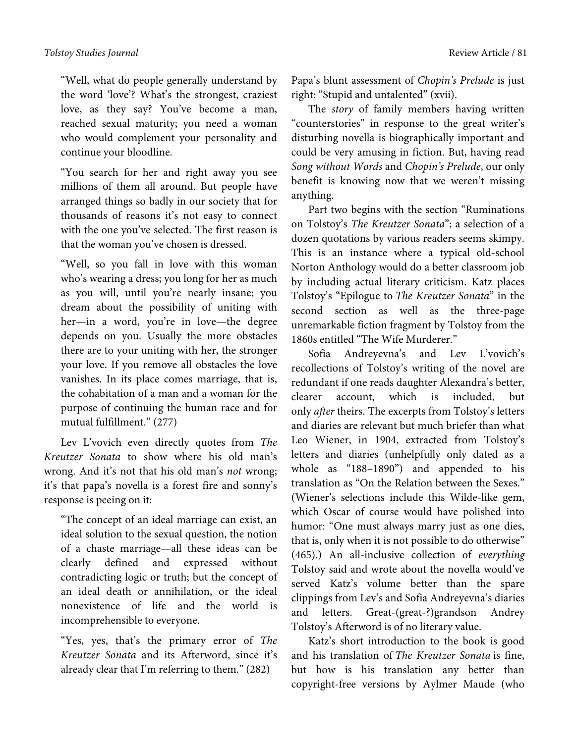## *Tolstoy Studies Journal* Review Article / 81

"Well, what do people generally understand by the word 'love'? What's the strongest, craziest love, as they say? You've become a man, reached sexual maturity; you need a woman who would complement your personality and continue your bloodline.

"You search for her and right away you see millions of them all around. But people have arranged things so badly in our society that for thousands of reasons it's not easy to connect with the one you've selected. The first reason is that the woman you've chosen is dressed.

"Well, so you fall in love with this woman who's wearing a dress; you long for her as much as you will, until you're nearly insane; you dream about the possibility of uniting with her—in a word, you're in love—the degree depends on you. Usually the more obstacles there are to your uniting with her, the stronger your love. If you remove all obstacles the love vanishes. In its place comes marriage, that is, the cohabitation of a man and a woman for the purpose of continuing the human race and for mutual fulfillment." (277)

Lev L'vovich even directly quotes from *The Kreutzer Sonata* to show where his old man's wrong. And it's not that his old man's *not* wrong; it's that papa's novella is a forest fire and sonny's response is peeing on it:

"The concept of an ideal marriage can exist, an ideal solution to the sexual question, the notion of a chaste marriage—all these ideas can be clearly defined and expressed without contradicting logic or truth; but the concept of an ideal death or annihilation, or the ideal nonexistence of life and the world is incomprehensible to everyone.

"Yes, yes, that's the primary error of *The Kreutzer Sonata* and its Afterword, since it's already clear that I'm referring to them." (282)

Papa's blunt assessment of *Chopin's Prelude* is just right: "Stupid and untalented" (xvii).

The *story* of family members having written "counterstories" in response to the great writer's disturbing novella is biographically important and could be very amusing in fiction. But, having read *Song without Words* and *Chopin's Prelude*, our only benefit is knowing now that we weren't missing anything.

Part two begins with the section "Ruminations on Tolstoy's *The Kreutzer Sonata*"; a selection of a dozen quotations by various readers seems skimpy. This is an instance where a typical old-school Norton Anthology would do a better classroom job by including actual literary criticism. Katz places Tolstoy's "Epilogue to *The Kreutzer Sonata*" in the second section as well as the three-page unremarkable fiction fragment by Tolstoy from the 1860s entitled "The Wife Murderer."

Sofia Andreyevna's and Lev L'vovich's recollections of Tolstoy's writing of the novel are redundant if one reads daughter Alexandra's better, clearer account, which is included, but only *after* theirs. The excerpts from Tolstoy's letters and diaries are relevant but much briefer than what Leo Wiener, in 1904, extracted from Tolstoy's letters and diaries (unhelpfully only dated as a whole as "188–1890") and appended to his translation as "On the Relation between the Sexes." (Wiener's selections include this Wilde-like gem, which Oscar of course would have polished into humor: "One must always marry just as one dies, that is, only when it is not possible to do otherwise" (465).) An all-inclusive collection of *everything* Tolstoy said and wrote about the novella would've served Katz's volume better than the spare clippings from Lev's and Sofia Andreyevna's diaries and letters. Great-(great-?)grandson Andrey Tolstoy's Afterword is of no literary value.

Katz's short introduction to the book is good and his translation of *The Kreutzer Sonata* is fine, but how is his translation any better than copyright-free versions by Aylmer Maude (who